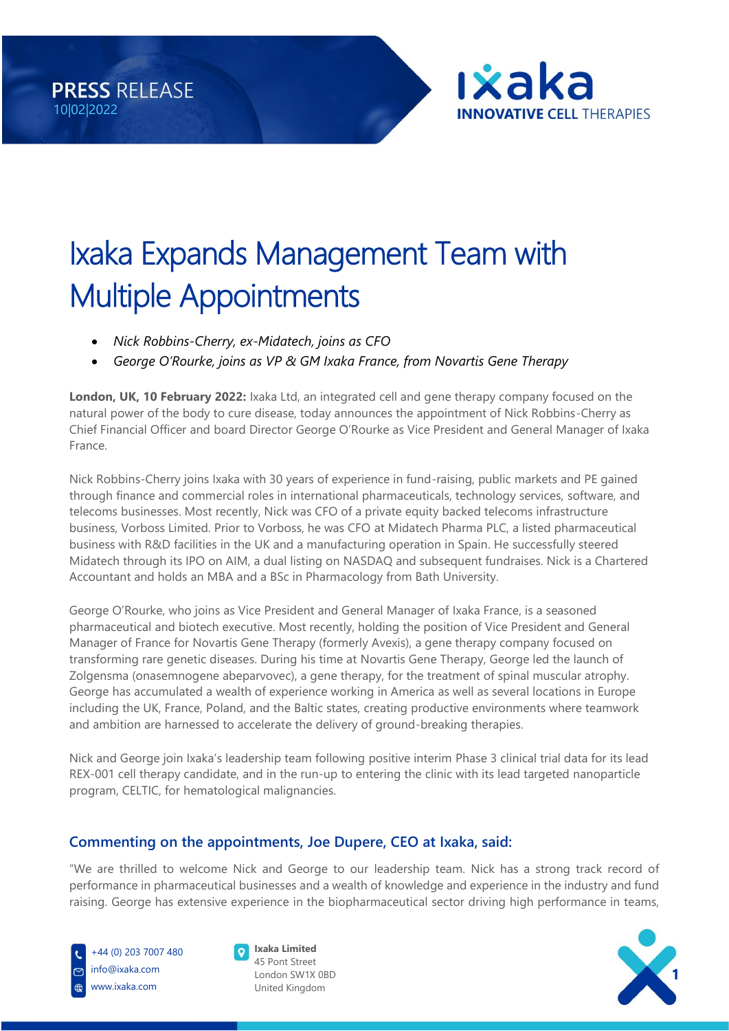



# Ixaka Expands Management Team with Multiple Appointments

- *Nick Robbins-Cherry, ex-Midatech, joins as CFO*
- *George O'Rourke, joins as VP & GM Ixaka France, from Novartis Gene Therapy*

**London, UK, 10 February 2022:** Ixaka Ltd, an integrated cell and gene therapy company focused on the natural power of the body to cure disease, today announces the appointment of Nick Robbins-Cherry as Chief Financial Officer and board Director George O'Rourke as Vice President and General Manager of Ixaka France.

Nick Robbins-Cherry joins Ixaka with 30 years of experience in fund-raising, public markets and PE gained through finance and commercial roles in international pharmaceuticals, technology services, software, and telecoms businesses. Most recently, Nick was CFO of a private equity backed telecoms infrastructure business, Vorboss Limited. Prior to Vorboss, he was CFO at Midatech Pharma PLC, a listed pharmaceutical business with R&D facilities in the UK and a manufacturing operation in Spain. He successfully steered Midatech through its IPO on AIM, a dual listing on NASDAQ and subsequent fundraises. Nick is a Chartered Accountant and holds an MBA and a BSc in Pharmacology from Bath University.

George O'Rourke, who joins as Vice President and General Manager of Ixaka France, is a seasoned pharmaceutical and biotech executive. Most recently, holding the position of Vice President and General Manager of France for Novartis Gene Therapy (formerly Avexis), a gene therapy company focused on transforming rare genetic diseases. During his time at Novartis Gene Therapy, George led the launch of Zolgensma (onasemnogene abeparvovec), a gene therapy, for the treatment of spinal muscular atrophy. George has accumulated a wealth of experience working in America as well as several locations in Europe including the UK, France, Poland, and the Baltic states, creating productive environments where teamwork and ambition are harnessed to accelerate the delivery of ground-breaking therapies.

Nick and George join Ixaka's leadership team following positive interim Phase 3 clinical trial data for its lead REX-001 cell therapy candidate, and in the run-up to entering the clinic with its lead targeted nanoparticle program, CELTIC, for hematological malignancies.

## **Commenting on the appointments, Joe Dupere, CEO at Ixaka, said:**

"We are thrilled to welcome Nick and George to our leadership team. Nick has a strong track record of performance in pharmaceutical businesses and a wealth of knowledge and experience in the industry and fund raising. George has extensive experience in the biopharmaceutical sector driving high performance in teams,





**Ixaka Limited** 45 Pont Street London SW1X 0BD United Kingdom

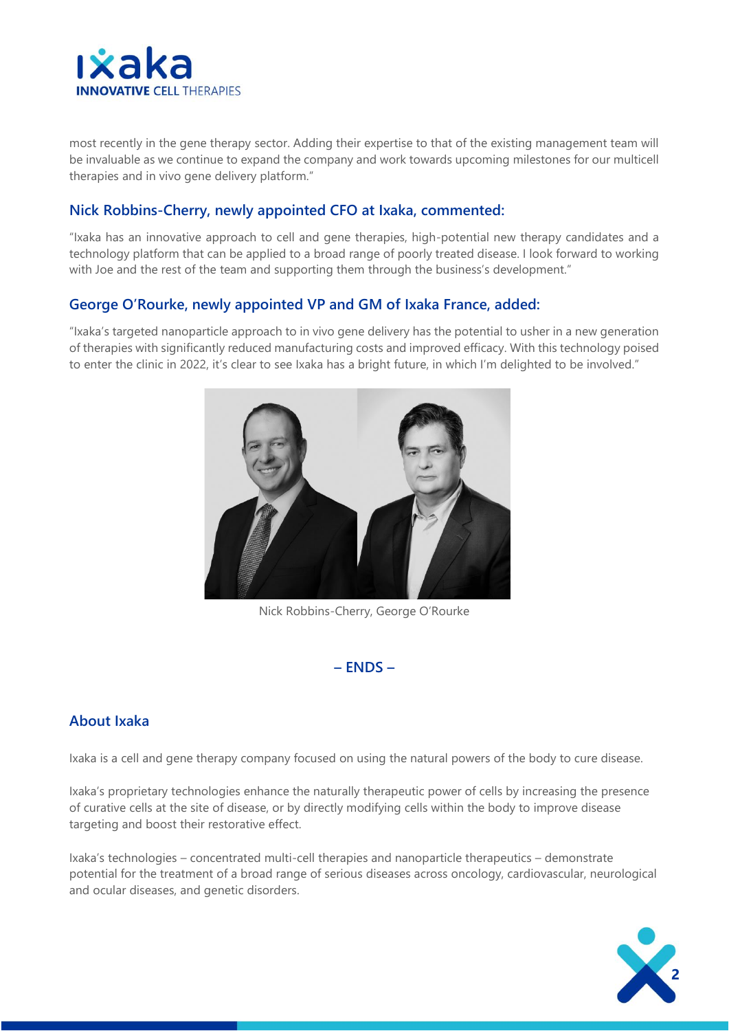

most recently in the gene therapy sector. Adding their expertise to that of the existing management team will be invaluable as we continue to expand the company and work towards upcoming milestones for our multicell therapies and in vivo gene delivery platform."

#### **Nick Robbins-Cherry, newly appointed CFO at Ixaka, commented:**

"Ixaka has an innovative approach to cell and gene therapies, high-potential new therapy candidates and a technology platform that can be applied to a broad range of poorly treated disease. I look forward to working with Joe and the rest of the team and supporting them through the business's development."

#### **George O'Rourke, newly appointed VP and GM of Ixaka France, added:**

"Ixaka's targeted nanoparticle approach to in vivo gene delivery has the potential to usher in a new generation of therapies with significantly reduced manufacturing costs and improved efficacy. With this technology poised to enter the clinic in 2022, it's clear to see Ixaka has a bright future, in which I'm delighted to be involved."



Nick Robbins-Cherry, George O'Rourke

**– ENDS –**

### **About Ixaka**

Ixaka is a cell and gene therapy company focused on using the natural powers of the body to cure disease.

Ixaka's proprietary technologies enhance the naturally therapeutic power of cells by increasing the presence of curative cells at the site of disease, or by directly modifying cells within the body to improve disease targeting and boost their restorative effect.

Ixaka's technologies – concentrated multi-cell therapies and nanoparticle therapeutics – demonstrate potential for the treatment of a broad range of serious diseases across oncology, cardiovascular, neurological and ocular diseases, and genetic disorders.